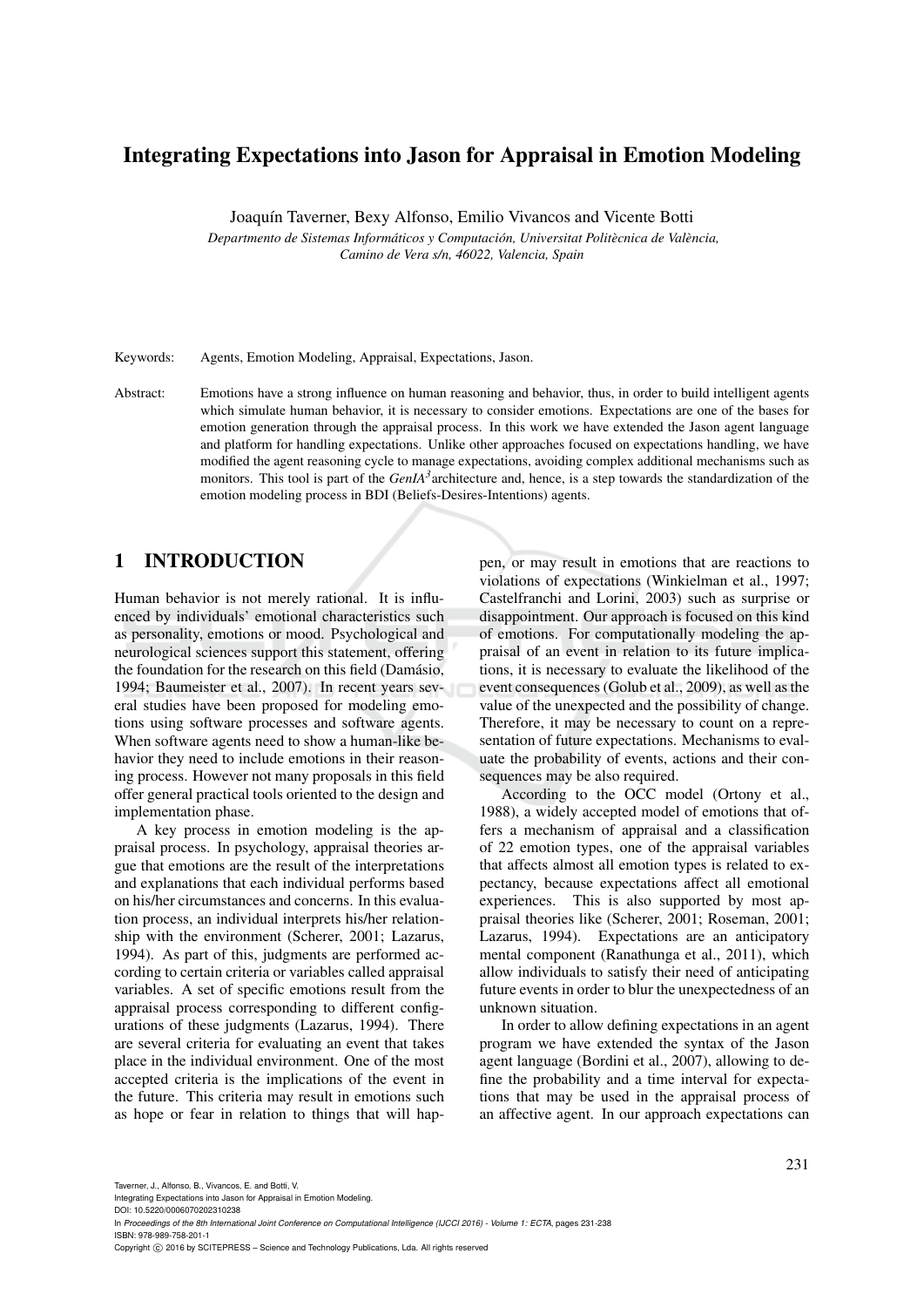# Integrating Expectations into Jason for Appraisal in Emotion Modeling

Joaquín Taverner, Bexy Alfonso, Emilio Vivancos and Vicente Botti

*Departmento de Sistemas Informáticos y Computación, Universitat Politècnica de València, Camino de Vera s/n, 46022, Valencia, Spain*

Keywords: Agents, Emotion Modeling, Appraisal, Expectations, Jason.

Abstract: Emotions have a strong influence on human reasoning and behavior, thus, in order to build intelligent agents which simulate human behavior, it is necessary to consider emotions. Expectations are one of the bases for emotion generation through the appraisal process. In this work we have extended the Jason agent language and platform for handling expectations. Unlike other approaches focused on expectations handling, we have modified the agent reasoning cycle to manage expectations, avoiding complex additional mechanisms such as monitors. This tool is part of the *GenIA<sup>3</sup>* architecture and, hence, is a step towards the standardization of the emotion modeling process in BDI (Beliefs-Desires-Intentions) agents.

## 1 INTRODUCTION

Human behavior is not merely rational. It is influenced by individuals' emotional characteristics such as personality, emotions or mood. Psychological and neurological sciences support this statement, offering the foundation for the research on this field (Damásio, 1994; Baumeister et al., 2007). In recent years several studies have been proposed for modeling emotions using software processes and software agents. When software agents need to show a human-like behavior they need to include emotions in their reasoning process. However not many proposals in this field offer general practical tools oriented to the design and implementation phase.

A key process in emotion modeling is the appraisal process. In psychology, appraisal theories argue that emotions are the result of the interpretations and explanations that each individual performs based on his/her circumstances and concerns. In this evaluation process, an individual interprets his/her relationship with the environment (Scherer, 2001; Lazarus, 1994). As part of this, judgments are performed according to certain criteria or variables called appraisal variables. A set of specific emotions result from the appraisal process corresponding to different configurations of these judgments (Lazarus, 1994). There are several criteria for evaluating an event that takes place in the individual environment. One of the most accepted criteria is the implications of the event in the future. This criteria may result in emotions such as hope or fear in relation to things that will happen, or may result in emotions that are reactions to violations of expectations (Winkielman et al., 1997; Castelfranchi and Lorini, 2003) such as surprise or disappointment. Our approach is focused on this kind of emotions. For computationally modeling the appraisal of an event in relation to its future implications, it is necessary to evaluate the likelihood of the event consequences (Golub et al., 2009), as well as the value of the unexpected and the possibility of change. Therefore, it may be necessary to count on a representation of future expectations. Mechanisms to evaluate the probability of events, actions and their consequences may be also required.

According to the OCC model (Ortony et al., 1988), a widely accepted model of emotions that offers a mechanism of appraisal and a classification of 22 emotion types, one of the appraisal variables that affects almost all emotion types is related to expectancy, because expectations affect all emotional experiences. This is also supported by most appraisal theories like (Scherer, 2001; Roseman, 2001; Lazarus, 1994). Expectations are an anticipatory mental component (Ranathunga et al., 2011), which allow individuals to satisfy their need of anticipating future events in order to blur the unexpectedness of an unknown situation.

In order to allow defining expectations in an agent program we have extended the syntax of the Jason agent language (Bordini et al., 2007), allowing to define the probability and a time interval for expectations that may be used in the appraisal process of an affective agent. In our approach expectations can

Taverner, J., Alfonso, B., Vivancos, E. and Botti, V.

In *Proceedings of the 8th International Joint Conference on Computational Intelligence (IJCCI 2016) - Volume 1: ECTA*, pages 231-238 ISBN: 978-989-758-201-1

Integrating Expectations into Jason for Appraisal in Emotion Modeling. DOI: 10.5220/0006070202310238

Copyright © 2016 by SCITEPRESS - Science and Technology Publications, Lda. All rights reserved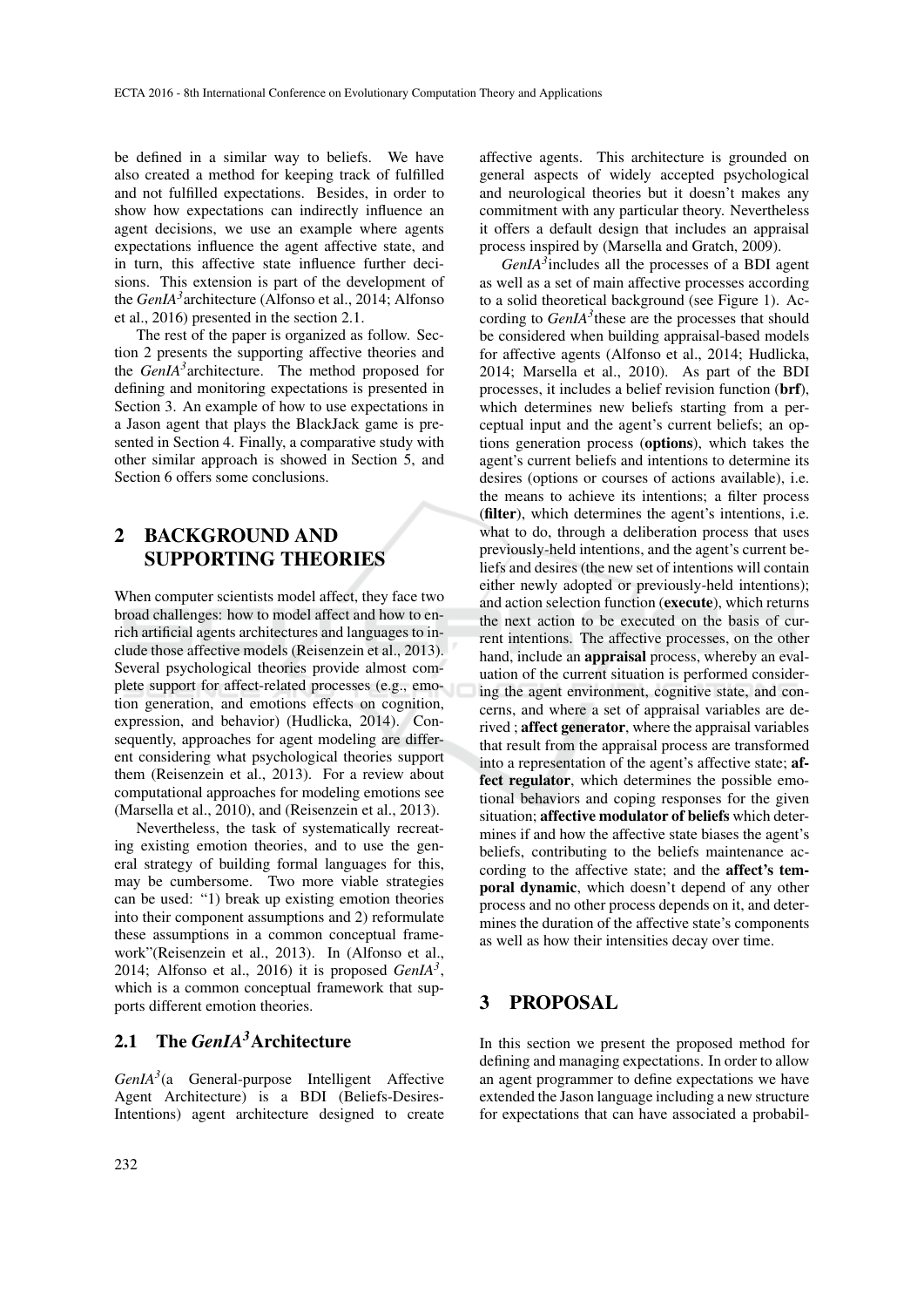be defined in a similar way to beliefs. We have also created a method for keeping track of fulfilled and not fulfilled expectations. Besides, in order to show how expectations can indirectly influence an agent decisions, we use an example where agents expectations influence the agent affective state, and in turn, this affective state influence further decisions. This extension is part of the development of the *GenIA<sup>3</sup>* architecture (Alfonso et al., 2014; Alfonso et al., 2016) presented in the section 2.1.

The rest of the paper is organized as follow. Section 2 presents the supporting affective theories and the *GenIA<sup>3</sup>* architecture. The method proposed for defining and monitoring expectations is presented in Section 3. An example of how to use expectations in a Jason agent that plays the BlackJack game is presented in Section 4. Finally, a comparative study with other similar approach is showed in Section 5, and Section 6 offers some conclusions.

# 2 BACKGROUND AND SUPPORTING THEORIES

When computer scientists model affect, they face two broad challenges: how to model affect and how to enrich artificial agents architectures and languages to include those affective models (Reisenzein et al., 2013). Several psychological theories provide almost complete support for affect-related processes (e.g., emotion generation, and emotions effects on cognition, expression, and behavior) (Hudlicka, 2014). Consequently, approaches for agent modeling are different considering what psychological theories support them (Reisenzein et al., 2013). For a review about computational approaches for modeling emotions see (Marsella et al., 2010), and (Reisenzein et al., 2013).

Nevertheless, the task of systematically recreating existing emotion theories, and to use the general strategy of building formal languages for this, may be cumbersome. Two more viable strategies can be used: "1) break up existing emotion theories into their component assumptions and 2) reformulate these assumptions in a common conceptual framework"(Reisenzein et al., 2013). In (Alfonso et al., 2014; Alfonso et al., 2016) it is proposed *GenIA<sup>3</sup>* , which is a common conceptual framework that supports different emotion theories.

#### 2.1 The *GenIA3*Architecture

*GenIA<sup>3</sup>* (a General-purpose Intelligent Affective Agent Architecture) is a BDI (Beliefs-Desires-Intentions) agent architecture designed to create

affective agents. This architecture is grounded on general aspects of widely accepted psychological and neurological theories but it doesn't makes any commitment with any particular theory. Nevertheless it offers a default design that includes an appraisal process inspired by (Marsella and Gratch, 2009).

*GenIA<sup>3</sup>* includes all the processes of a BDI agent as well as a set of main affective processes according to a solid theoretical background (see Figure 1). According to *GenIA<sup>3</sup>* these are the processes that should be considered when building appraisal-based models for affective agents (Alfonso et al., 2014; Hudlicka, 2014; Marsella et al., 2010). As part of the BDI processes, it includes a belief revision function (brf), which determines new beliefs starting from a perceptual input and the agent's current beliefs; an options generation process (options), which takes the agent's current beliefs and intentions to determine its desires (options or courses of actions available), i.e. the means to achieve its intentions; a filter process (filter), which determines the agent's intentions, i.e. what to do, through a deliberation process that uses previously-held intentions, and the agent's current beliefs and desires (the new set of intentions will contain either newly adopted or previously-held intentions); and action selection function (execute), which returns the next action to be executed on the basis of current intentions. The affective processes, on the other hand, include an appraisal process, whereby an evaluation of the current situation is performed considering the agent environment, cognitive state, and concerns, and where a set of appraisal variables are derived ; affect generator, where the appraisal variables that result from the appraisal process are transformed into a representation of the agent's affective state; affect regulator, which determines the possible emotional behaviors and coping responses for the given situation; affective modulator of beliefs which determines if and how the affective state biases the agent's beliefs, contributing to the beliefs maintenance according to the affective state; and the affect's temporal dynamic, which doesn't depend of any other process and no other process depends on it, and determines the duration of the affective state's components as well as how their intensities decay over time.

#### 3 PROPOSAL

In this section we present the proposed method for defining and managing expectations. In order to allow an agent programmer to define expectations we have extended the Jason language including a new structure for expectations that can have associated a probabil-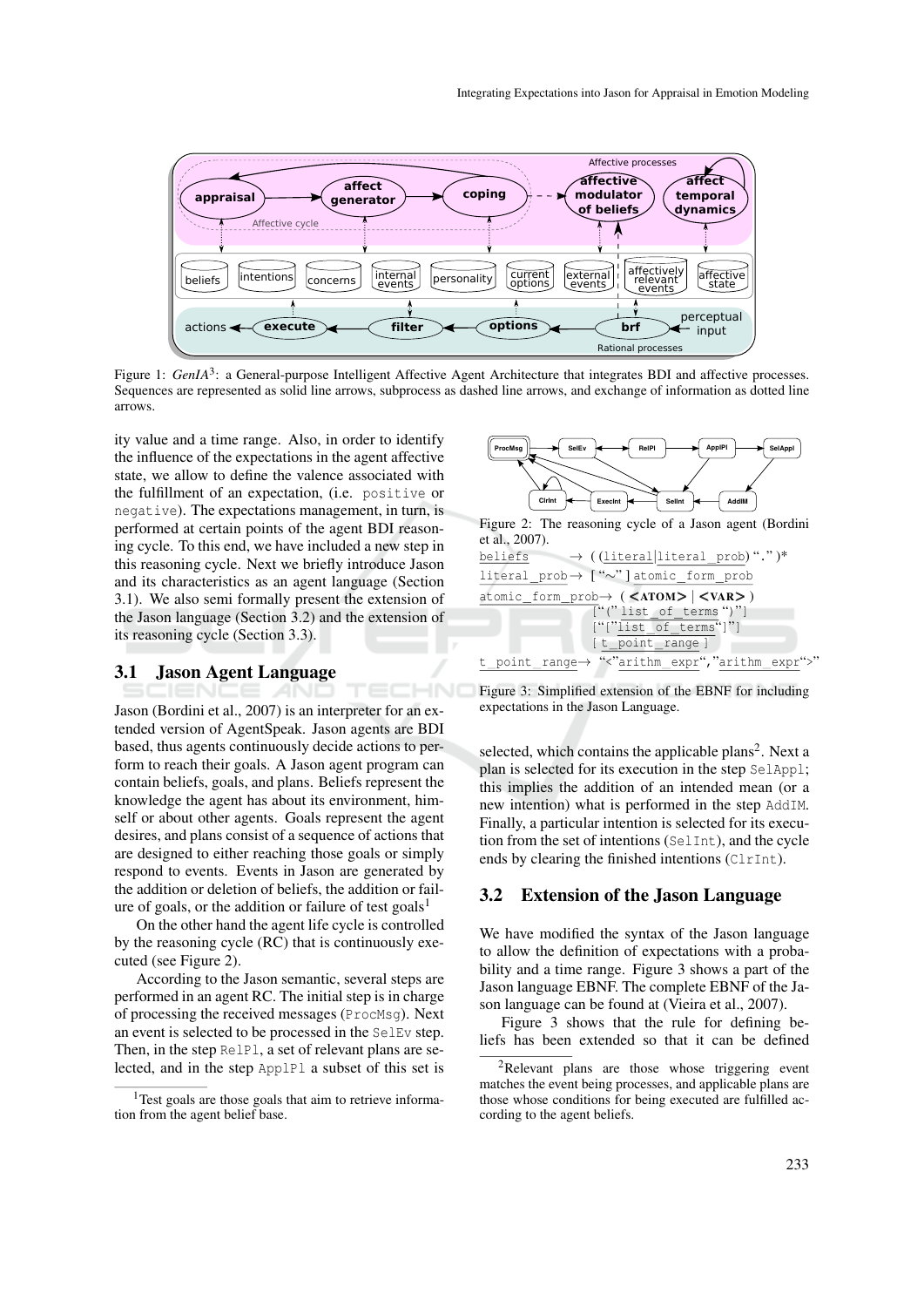

Figure 1: *GenIA*<sup>3</sup>: a General-purpose Intelligent Affective Agent Architecture that integrates BDI and affective processes. Sequences are represented as solid line arrows, subprocess as dashed line arrows, and exchange of information as dotted line arrows.

HNC

ity value and a time range. Also, in order to identify the influence of the expectations in the agent affective state, we allow to define the valence associated with the fulfillment of an expectation, (i.e. positive or negative). The expectations management, in turn, is performed at certain points of the agent BDI reasoning cycle. To this end, we have included a new step in this reasoning cycle. Next we briefly introduce Jason and its characteristics as an agent language (Section 3.1). We also semi formally present the extension of the Jason language (Section 3.2) and the extension of its reasoning cycle (Section 3.3).

#### 3.1 Jason Agent Language

Jason (Bordini et al., 2007) is an interpreter for an extended version of AgentSpeak. Jason agents are BDI based, thus agents continuously decide actions to perform to reach their goals. A Jason agent program can contain beliefs, goals, and plans. Beliefs represent the knowledge the agent has about its environment, himself or about other agents. Goals represent the agent desires, and plans consist of a sequence of actions that are designed to either reaching those goals or simply respond to events. Events in Jason are generated by the addition or deletion of beliefs, the addition or failure of goals, or the addition or failure of test goals<sup>1</sup>

On the other hand the agent life cycle is controlled by the reasoning cycle (RC) that is continuously executed (see Figure 2).

According to the Jason semantic, several steps are performed in an agent RC. The initial step is in charge of processing the received messages (ProcMsg). Next an event is selected to be processed in the SelEv step. Then, in the step RelPl, a set of relevant plans are selected, and in the step ApplPl a subset of this set is



Figure 2: The reasoning cycle of a Jason agent (Bordini et al., 2007).



Figure 3: Simplified extension of the EBNF for including expectations in the Jason Language.

selected, which contains the applicable plans<sup>2</sup>. Next a plan is selected for its execution in the step SelAppl; this implies the addition of an intended mean (or a new intention) what is performed in the step AddIM. Finally, a particular intention is selected for its execution from the set of intentions (SelInt), and the cycle ends by clearing the finished intentions (ClrInt).

#### 3.2 Extension of the Jason Language

We have modified the syntax of the Jason language to allow the definition of expectations with a probability and a time range. Figure 3 shows a part of the Jason language EBNF. The complete EBNF of the Jason language can be found at (Vieira et al., 2007).

Figure 3 shows that the rule for defining beliefs has been extended so that it can be defined

<sup>&</sup>lt;sup>1</sup>Test goals are those goals that aim to retrieve information from the agent belief base.

<sup>&</sup>lt;sup>2</sup>Relevant plans are those whose triggering event matches the event being processes, and applicable plans are those whose conditions for being executed are fulfilled according to the agent beliefs.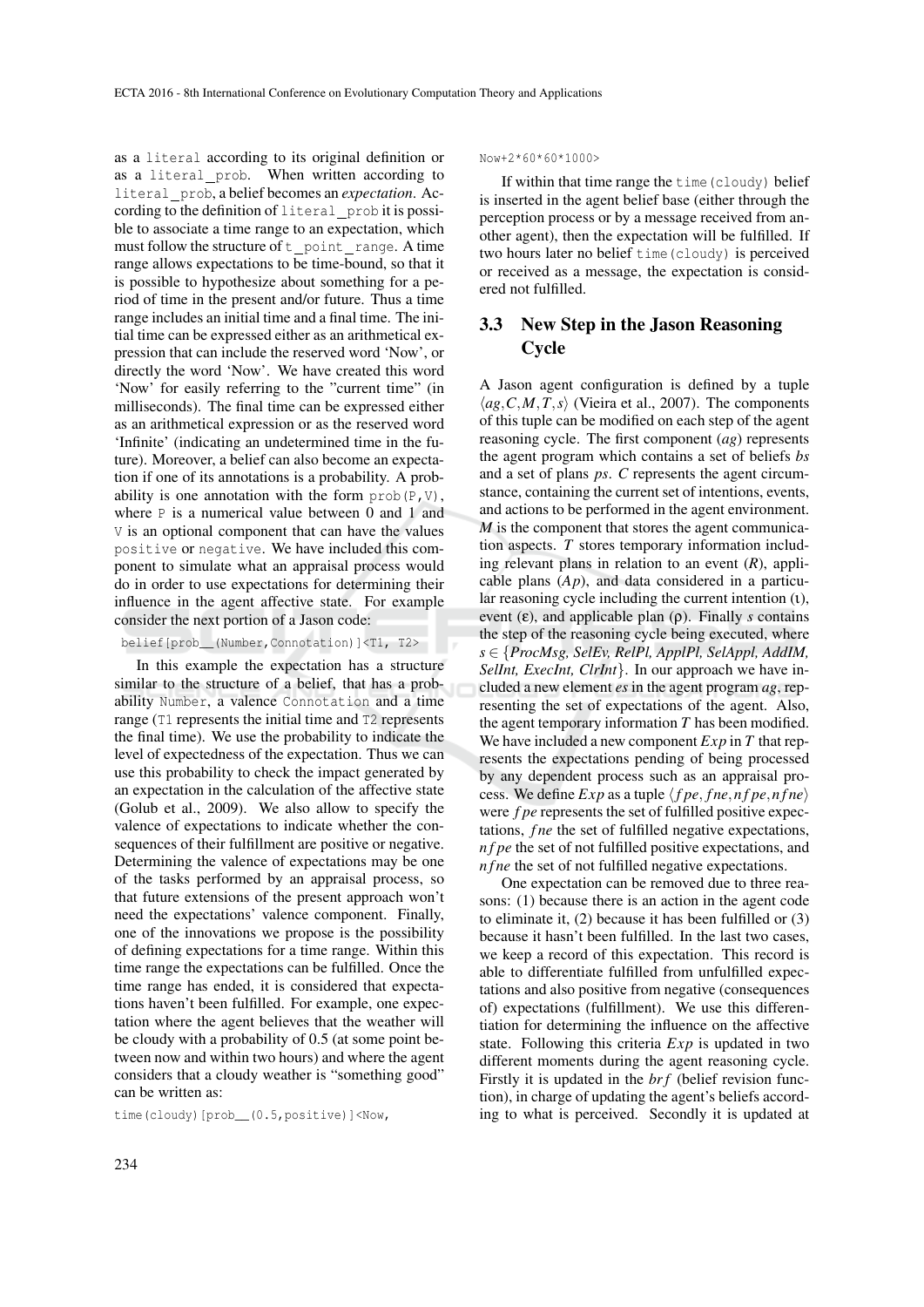as a literal according to its original definition or as a literal prob. When written according to literal prob, a belief becomes an *expectation*. According to the definition of literal\_prob it is possible to associate a time range to an expectation, which must follow the structure of  $t$  point range. A time range allows expectations to be time-bound, so that it is possible to hypothesize about something for a period of time in the present and/or future. Thus a time range includes an initial time and a final time. The initial time can be expressed either as an arithmetical expression that can include the reserved word 'Now', or directly the word 'Now'. We have created this word 'Now' for easily referring to the "current time" (in milliseconds). The final time can be expressed either as an arithmetical expression or as the reserved word 'Infinite' (indicating an undetermined time in the future). Moreover, a belief can also become an expectation if one of its annotations is a probability. A probability is one annotation with the form  $prob(P, V)$ , where P is a numerical value between 0 and 1 and V is an optional component that can have the values positive or negative. We have included this component to simulate what an appraisal process would do in order to use expectations for determining their influence in the agent affective state. For example consider the next portion of a Jason code:

belief[prob\_\_(Number,Connotation)]<T1, T2>

In this example the expectation has a structure similar to the structure of a belief, that has a probability Number, a valence Connotation and a time range (T1 represents the initial time and T2 represents the final time). We use the probability to indicate the level of expectedness of the expectation. Thus we can use this probability to check the impact generated by an expectation in the calculation of the affective state (Golub et al., 2009). We also allow to specify the valence of expectations to indicate whether the consequences of their fulfillment are positive or negative. Determining the valence of expectations may be one of the tasks performed by an appraisal process, so that future extensions of the present approach won't need the expectations' valence component. Finally, one of the innovations we propose is the possibility of defining expectations for a time range. Within this time range the expectations can be fulfilled. Once the time range has ended, it is considered that expectations haven't been fulfilled. For example, one expectation where the agent believes that the weather will be cloudy with a probability of 0.5 (at some point between now and within two hours) and where the agent considers that a cloudy weather is "something good" can be written as:

time(cloudy)[prob\_\_(0.5,positive)]<Now,

Now+2\*60\*60\*1000>

If within that time range the time(cloudy) belief is inserted in the agent belief base (either through the perception process or by a message received from another agent), then the expectation will be fulfilled. If two hours later no belief time(cloudy) is perceived or received as a message, the expectation is considered not fulfilled.

### 3.3 New Step in the Jason Reasoning **Cycle**

A Jason agent configuration is defined by a tuple  $\langle ag, C, M, T, s \rangle$  (Vieira et al., 2007). The components of this tuple can be modified on each step of the agent reasoning cycle. The first component (*ag*) represents the agent program which contains a set of beliefs *bs* and a set of plans *ps*. *C* represents the agent circumstance, containing the current set of intentions, events, and actions to be performed in the agent environment. *M* is the component that stores the agent communication aspects. *T* stores temporary information including relevant plans in relation to an event (*R*), applicable plans (*Ap*), and data considered in a particular reasoning cycle including the current intention (ι), event  $(\epsilon)$ , and applicable plan  $(\rho)$ . Finally *s* contains the step of the reasoning cycle being executed, where *s* ∈ {*ProcMsg, SelEv, RelPl, ApplPl, SelAppl, AddIM, SelInt, ExecInt, ClrInt*}. In our approach we have included a new element *es* in the agent program *ag*, representing the set of expectations of the agent. Also, the agent temporary information *T* has been modified. We have included a new component *Exp* in *T* that represents the expectations pending of being processed by any dependent process such as an appraisal process. We define  $Exp$  as a tuple  $\langle fpe, \text{f}ne, \text{f}pe, \text{f}ne \rangle$ were *f pe* represents the set of fulfilled positive expectations, *fne* the set of fulfilled negative expectations, *n f pe* the set of not fulfilled positive expectations, and *n f ne* the set of not fulfilled negative expectations.

One expectation can be removed due to three reasons: (1) because there is an action in the agent code to eliminate it, (2) because it has been fulfilled or (3) because it hasn't been fulfilled. In the last two cases, we keep a record of this expectation. This record is able to differentiate fulfilled from unfulfilled expectations and also positive from negative (consequences of) expectations (fulfillment). We use this differentiation for determining the influence on the affective state. Following this criteria *Exp* is updated in two different moments during the agent reasoning cycle. Firstly it is updated in the *br f* (belief revision function), in charge of updating the agent's beliefs according to what is perceived. Secondly it is updated at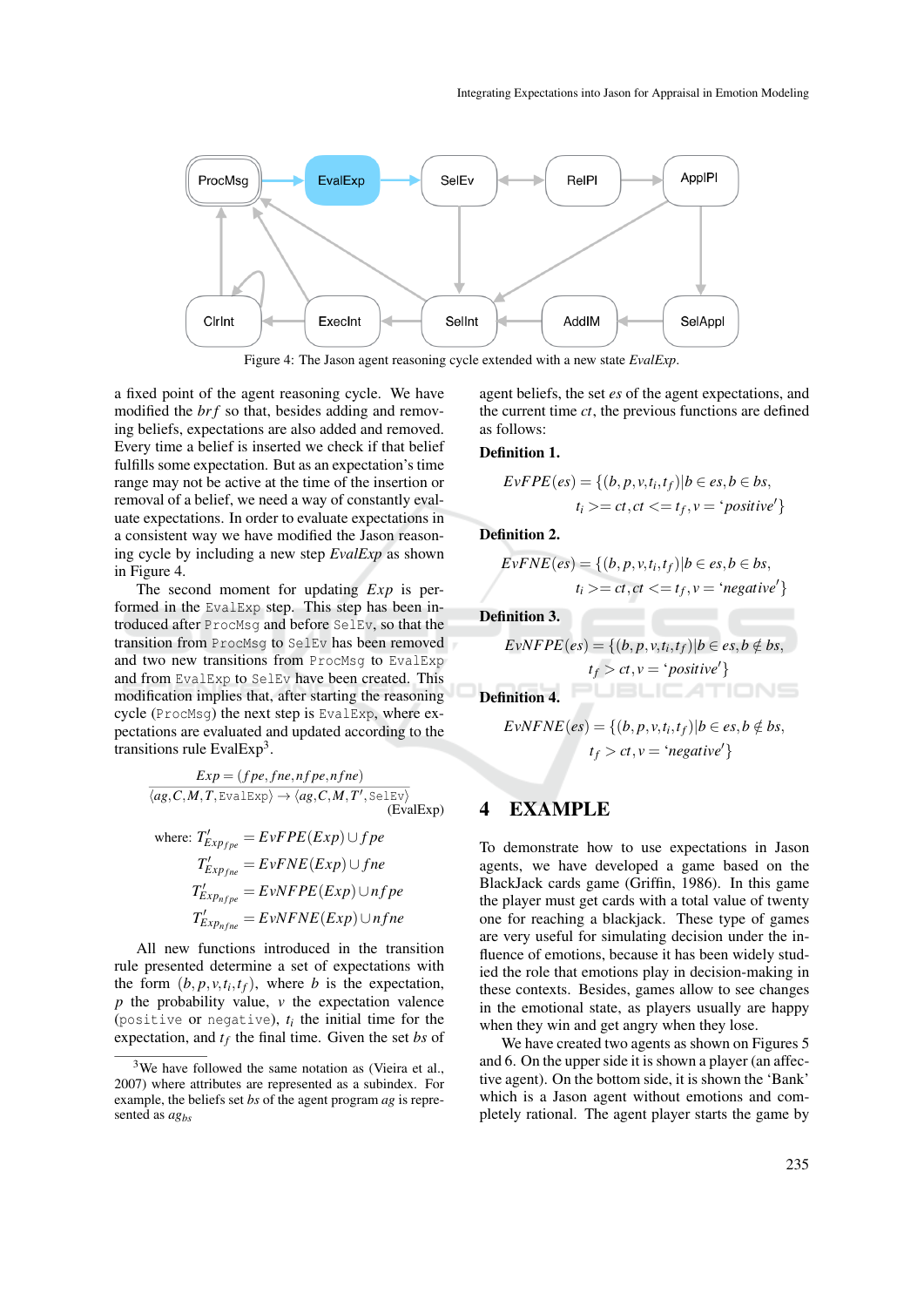

Figure 4: The Jason agent reasoning cycle extended with a new state *EvalExp*.

a fixed point of the agent reasoning cycle. We have modified the *brf* so that, besides adding and removing beliefs, expectations are also added and removed. Every time a belief is inserted we check if that belief fulfills some expectation. But as an expectation's time range may not be active at the time of the insertion or removal of a belief, we need a way of constantly evaluate expectations. In order to evaluate expectations in a consistent way we have modified the Jason reasoning cycle by including a new step *EvalExp* as shown in Figure 4.

The second moment for updating *Exp* is performed in the EvalExp step. This step has been introduced after ProcMsg and before SelEv, so that the transition from ProcMsg to SelEv has been removed and two new transitions from ProcMsg to EvalExp and from EvalExp to SelEv have been created. This modification implies that, after starting the reasoning cycle (ProcMsg) the next step is EvalExp, where expectations are evaluated and updated according to the transitions rule EvalExp<sup>3</sup>.

$$
\frac{Exp = (fpe, fine, nfpe, nfne)}{\langle ag, C, M, T, Evalexp \rangle \rightarrow \langle ag, C, M, T', Se 1Ev \rangle}
$$
\n(EvalExp)

where: 
$$
T'_{Exp_{fpe}} = EvFPE(Exp) \cup fpe
$$
  
\n $T'_{Exp_{fne}} = EvFNE(Exp) \cup fne$   
\n $T'_{Exp_{nfpe}} = EvNFPE(Exp) \cup nfp$   
\n $T'_{Exp_{nfne}} = EvNFNE(Exp) \cup nfn$ 

All new functions introduced in the transition rule presented determine a set of expectations with the form  $(b, p, v, t_i, t_f)$ , where *b* is the expectation, *p* the probability value, *v* the expectation valence (positive or negative),  $t_i$  the initial time for the expectation, and *t<sup>f</sup>* the final time. Given the set *bs* of

agent beliefs, the set *es* of the agent expectations, and the current time *ct*, the previous functions are defined as follows:

#### Definition 1.

$$
EvFPE(es) = \{(b, p, v, t_i, t_f) | b \in es, b \in bs,t_i \geq ct, ct \leq t_f, v = 'positive'\}
$$

Definition 2.

$$
EvFNE(es) = \{(b, p, v, t_i, t_f) | b \in es, b \in bs,t_i \geq ct, ct \leq t_f, v = 'negative'\}
$$

Definition 3.

$$
EvNFPE(es) = \{(b, p, v, t_i, t_f) | b \in es, b \notin bs,t_f > ct, v = 'positive'\}
$$

Definition 4.

$$
EvNFNE(es) = \{(b, p, v, t_i, t_f) | b \in es, b \notin bs,t_f > ct, v = 'negative'\}
$$

### 4 EXAMPLE

To demonstrate how to use expectations in Jason agents, we have developed a game based on the BlackJack cards game (Griffin, 1986). In this game the player must get cards with a total value of twenty one for reaching a blackjack. These type of games are very useful for simulating decision under the influence of emotions, because it has been widely studied the role that emotions play in decision-making in these contexts. Besides, games allow to see changes in the emotional state, as players usually are happy when they win and get angry when they lose.

We have created two agents as shown on Figures 5 and 6. On the upper side it is shown a player (an affective agent). On the bottom side, it is shown the 'Bank' which is a Jason agent without emotions and completely rational. The agent player starts the game by

 $3$ We have followed the same notation as (Vieira et al., 2007) where attributes are represented as a subindex. For example, the beliefs set *bs* of the agent program *ag* is represented as *agbs*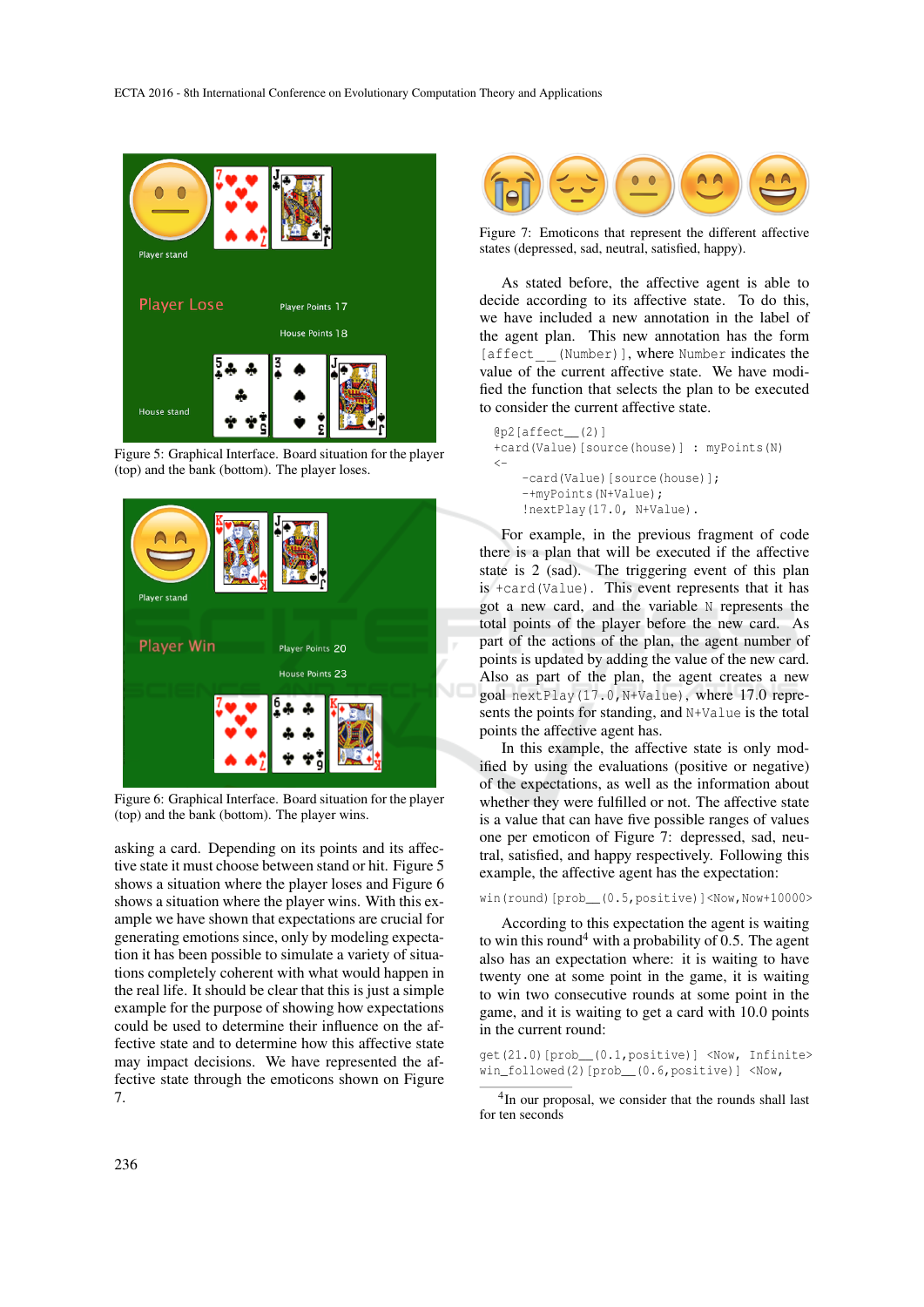





Figure 6: Graphical Interface. Board situation for the player (top) and the bank (bottom). The player wins.

asking a card. Depending on its points and its affective state it must choose between stand or hit. Figure 5 shows a situation where the player loses and Figure 6 shows a situation where the player wins. With this example we have shown that expectations are crucial for generating emotions since, only by modeling expectation it has been possible to simulate a variety of situations completely coherent with what would happen in the real life. It should be clear that this is just a simple example for the purpose of showing how expectations could be used to determine their influence on the affective state and to determine how this affective state may impact decisions. We have represented the affective state through the emoticons shown on Figure 7.



Figure 7: Emoticons that represent the different affective states (depressed, sad, neutral, satisfied, happy).

As stated before, the affective agent is able to decide according to its affective state. To do this, we have included a new annotation in the label of the agent plan. This new annotation has the form [affect<sub>-[(Number)]</sub>, where Number indicates the value of the current affective state. We have modified the function that selects the plan to be executed to consider the current affective state.

```
@p2[affect__(2)]
+card(Value)[source(house)] : myPoints(N)
\overline{\left( -\right)}-card(Value)[source(house)];
    -+myPoints(N+Value);
    !nextPlay(17.0, N+Value).
```
For example, in the previous fragment of code there is a plan that will be executed if the affective state is 2 (sad). The triggering event of this plan is +card(Value). This event represents that it has got a new card, and the variable N represents the total points of the player before the new card. As part of the actions of the plan, the agent number of points is updated by adding the value of the new card. Also as part of the plan, the agent creates a new goal nextPlay(17.0,N+Value), where 17.0 represents the points for standing, and N+Value is the total points the affective agent has.

In this example, the affective state is only modified by using the evaluations (positive or negative) of the expectations, as well as the information about whether they were fulfilled or not. The affective state is a value that can have five possible ranges of values one per emoticon of Figure 7: depressed, sad, neutral, satisfied, and happy respectively. Following this example, the affective agent has the expectation:

win(round)[prob\_(0.5,positive)]<Now,Now+10000>

According to this expectation the agent is waiting to win this round<sup>4</sup> with a probability of 0.5. The agent also has an expectation where: it is waiting to have twenty one at some point in the game, it is waiting to win two consecutive rounds at some point in the game, and it is waiting to get a card with 10.0 points in the current round:

get(21.0)[prob\_\_(0.1,positive)] <Now, Infinite> win\_followed(2)[prob\_(0.6,positive)] <Now,

4 In our proposal, we consider that the rounds shall last for ten seconds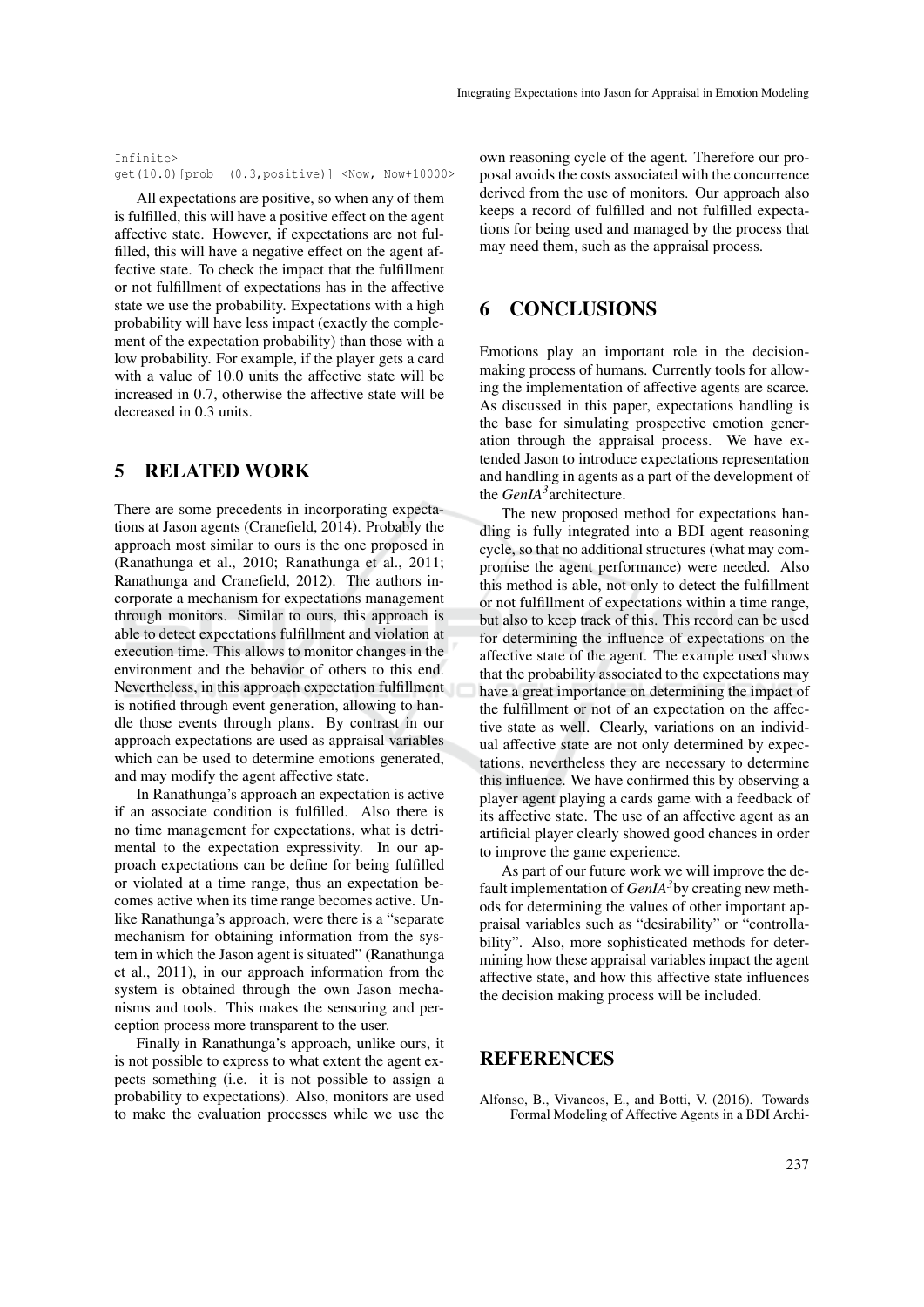```
Infinite>
get(10.0)[prob__(0.3,positive)] <Now, Now+10000>
```
All expectations are positive, so when any of them is fulfilled, this will have a positive effect on the agent affective state. However, if expectations are not fulfilled, this will have a negative effect on the agent affective state. To check the impact that the fulfillment or not fulfillment of expectations has in the affective state we use the probability. Expectations with a high probability will have less impact (exactly the complement of the expectation probability) than those with a low probability. For example, if the player gets a card with a value of 10.0 units the affective state will be increased in 0.7, otherwise the affective state will be decreased in 0.3 units.

## 5 RELATED WORK

There are some precedents in incorporating expectations at Jason agents (Cranefield, 2014). Probably the approach most similar to ours is the one proposed in (Ranathunga et al., 2010; Ranathunga et al., 2011; Ranathunga and Cranefield, 2012). The authors incorporate a mechanism for expectations management through monitors. Similar to ours, this approach is able to detect expectations fulfillment and violation at execution time. This allows to monitor changes in the environment and the behavior of others to this end. Nevertheless, in this approach expectation fulfillment is notified through event generation, allowing to handle those events through plans. By contrast in our approach expectations are used as appraisal variables which can be used to determine emotions generated, and may modify the agent affective state.

In Ranathunga's approach an expectation is active if an associate condition is fulfilled. Also there is no time management for expectations, what is detrimental to the expectation expressivity. In our approach expectations can be define for being fulfilled or violated at a time range, thus an expectation becomes active when its time range becomes active. Unlike Ranathunga's approach, were there is a "separate mechanism for obtaining information from the system in which the Jason agent is situated" (Ranathunga et al., 2011), in our approach information from the system is obtained through the own Jason mechanisms and tools. This makes the sensoring and perception process more transparent to the user.

Finally in Ranathunga's approach, unlike ours, it is not possible to express to what extent the agent expects something (i.e. it is not possible to assign a probability to expectations). Also, monitors are used to make the evaluation processes while we use the own reasoning cycle of the agent. Therefore our proposal avoids the costs associated with the concurrence derived from the use of monitors. Our approach also keeps a record of fulfilled and not fulfilled expectations for being used and managed by the process that may need them, such as the appraisal process.

#### 6 CONCLUSIONS

Emotions play an important role in the decisionmaking process of humans. Currently tools for allowing the implementation of affective agents are scarce. As discussed in this paper, expectations handling is the base for simulating prospective emotion generation through the appraisal process. We have extended Jason to introduce expectations representation and handling in agents as a part of the development of the *GenIA<sup>3</sup>* architecture.

The new proposed method for expectations handling is fully integrated into a BDI agent reasoning cycle, so that no additional structures (what may compromise the agent performance) were needed. Also this method is able, not only to detect the fulfillment or not fulfillment of expectations within a time range, but also to keep track of this. This record can be used for determining the influence of expectations on the affective state of the agent. The example used shows that the probability associated to the expectations may have a great importance on determining the impact of the fulfillment or not of an expectation on the affective state as well. Clearly, variations on an individual affective state are not only determined by expectations, nevertheless they are necessary to determine this influence. We have confirmed this by observing a player agent playing a cards game with a feedback of its affective state. The use of an affective agent as an artificial player clearly showed good chances in order to improve the game experience.

As part of our future work we will improve the default implementation of *GenIA3*by creating new methods for determining the values of other important appraisal variables such as "desirability" or "controllability". Also, more sophisticated methods for determining how these appraisal variables impact the agent affective state, and how this affective state influences the decision making process will be included.

### **REFERENCES**

Alfonso, B., Vivancos, E., and Botti, V. (2016). Towards Formal Modeling of Affective Agents in a BDI Archi